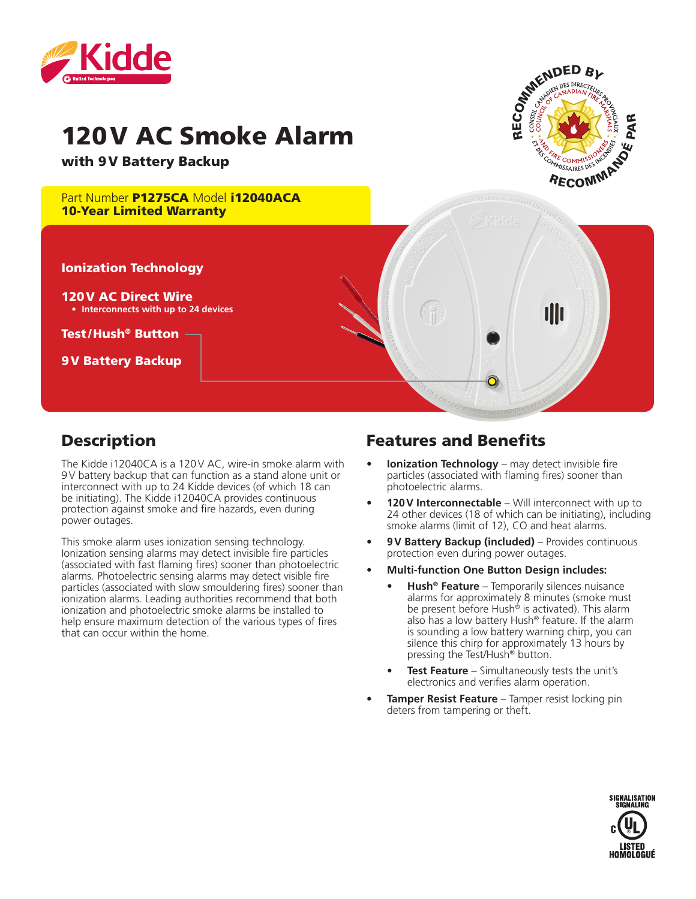

# 120V AC Smoke Alarm

with 9V Battery Backup





#### **Description**

The Kidde i12040CA is a 120V AC, wire-in smoke alarm with 9V battery backup that can function as a stand alone unit or interconnect with up to 24 Kidde devices (of which 18 can be initiating). The Kidde i12040CA provides continuous protection against smoke and fire hazards, even during power outages.

This smoke alarm uses ionization sensing technology. Ionization sensing alarms may detect invisible fire particles (associated with fast flaming fires) sooner than photoelectric alarms. Photoelectric sensing alarms may detect visible fire particles (associated with slow smouldering fires) sooner than ionization alarms. Leading authorities recommend that both ionization and photoelectric smoke alarms be installed to help ensure maximum detection of the various types of fires that can occur within the home.

#### Features and Benefits

- **• Ionization Technology** may detect invisible fire particles (associated with flaming fires) sooner than photoelectric alarms.
- **• 120V Interconnectable**  Will interconnect with up to 24 other devices (18 of which can be initiating), including smoke alarms (limit of 12), CO and heat alarms.
- **• 9V Battery Backup (included)** Provides continuous protection even during power outages.
- **• Multi-function One Button Design includes:**
	- **• Hush® Feature** Temporarily silences nuisance alarms for approximately 8 minutes (smoke must be present before Hush® is activated). This alarm also has a low battery Hush® feature. If the alarm is sounding a low battery warning chirp, you can silence this chirp for approximately 13 hours by pressing the Test/Hush<sup>®</sup> button.
	- **Test Feature** Simultaneously tests the unit's electronics and verifies alarm operation.
- **Tamper Resist Feature** Tamper resist locking pin deters from tampering or theft.